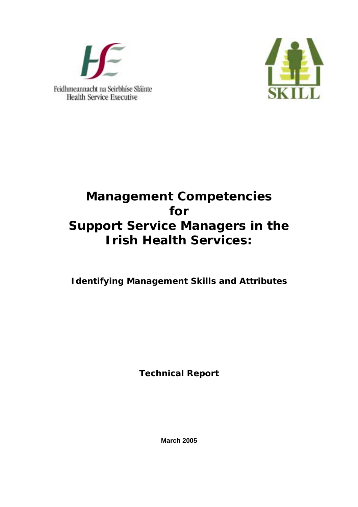



# **Management Competencies for Support Service Managers in the Irish Health Services:**

# **Identifying Management Skills and Attributes**

**Technical Report** 

**March 2005**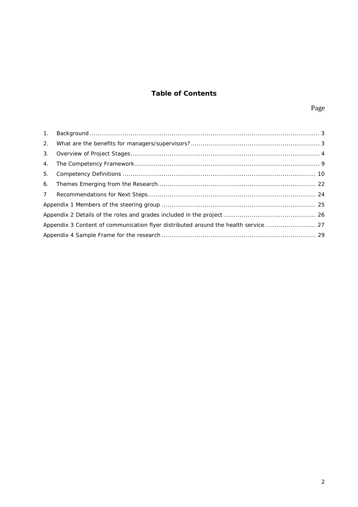## **Table of Contents**

| $\mathbf{1}$ . | $\textbf{Background} \dots 3$ |  |  |
|----------------|-------------------------------|--|--|
| 2.             |                               |  |  |
| 3.             |                               |  |  |
| 4.             |                               |  |  |
| 5.             |                               |  |  |
| 6.             |                               |  |  |
| 7 <sup>7</sup> |                               |  |  |
|                |                               |  |  |
|                |                               |  |  |
|                |                               |  |  |
|                |                               |  |  |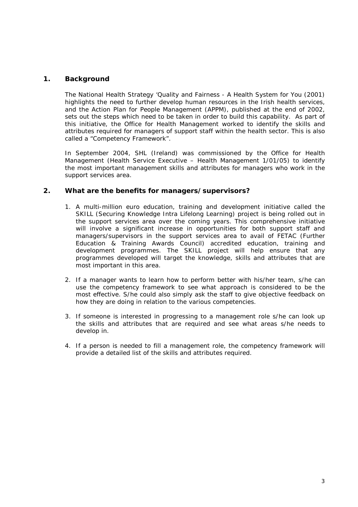### <span id="page-2-0"></span>**1. Background**

The National Health Strategy *'Quality and Fairness - A Health System for You* (2001) highlights the need to further develop human resources in the Irish health services, and the Action Plan for People Management (APPM), published at the end of 2002, sets out the steps which need to be taken in order to build this capability. As part of this initiative, the Office for Health Management worked to identify the skills and attributes required for managers of support staff within the health sector. This is also called a "Competency Framework".

In September 2004, SHL (Ireland) was commissioned by the Office for Health Management (Health Service Executive – Health Management 1/01/05) to identify the most important management skills and attributes for managers who work in the support services area.

#### **2. What are the benefits for managers/supervisors?**

- 1. A multi-million euro education, training and development initiative called the SKILL (Securing Knowledge Intra Lifelong Learning) project is being rolled out in the support services area over the coming years. This comprehensive initiative will involve a significant increase in opportunities for both support staff and managers/supervisors in the support services area to avail of FETAC (Further Education & Training Awards Council) accredited education, training and development programmes. The SKILL project will help ensure that any programmes developed will target the knowledge, skills and attributes that are most important in this area.
- 2. If a manager wants to learn how to perform better with his/her team, s/he can use the competency framework to see what approach is considered to be the most effective. S/he could also simply ask the staff to give objective feedback on how they are doing in relation to the various competencies.
- 3. If someone is interested in progressing to a management role s/he can look up the skills and attributes that are required and see what areas s/he needs to develop in.
- 4. If a person is needed to fill a management role, the competency framework will provide a detailed list of the skills and attributes required.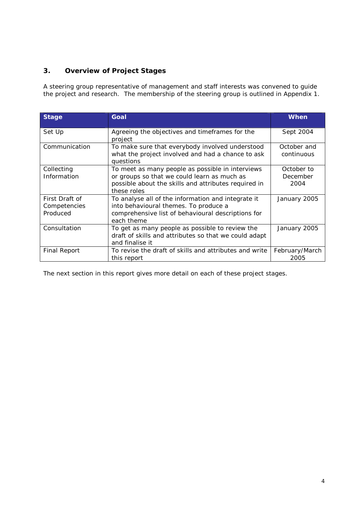## <span id="page-3-0"></span>**3. Overview of Project Stages**

A steering group representative of management and staff interests was convened to guide the project and research. The membership of the steering group is outlined in Appendix 1.

| <b>Stage</b>                               | Goal                                                                                                                                                                   | When                           |
|--------------------------------------------|------------------------------------------------------------------------------------------------------------------------------------------------------------------------|--------------------------------|
| Set Up                                     | Agreeing the objectives and timeframes for the<br>project                                                                                                              | Sept 2004                      |
| Communication                              | To make sure that everybody involved understood<br>what the project involved and had a chance to ask<br>questions                                                      | October and<br>continuous      |
| Collecting<br>Information                  | To meet as many people as possible in interviews<br>or groups so that we could learn as much as<br>possible about the skills and attributes required in<br>these roles | October to<br>December<br>2004 |
| First Draft of<br>Competencies<br>Produced | To analyse all of the information and integrate it<br>into behavioural themes. To produce a<br>comprehensive list of behavioural descriptions for<br>each theme        | January 2005                   |
| Consultation                               | To get as many people as possible to review the<br>draft of skills and attributes so that we could adapt<br>and finalise it                                            | January 2005                   |
| <b>Final Report</b>                        | To revise the draft of skills and attributes and write<br>this report                                                                                                  | February/March<br>2005         |

The next section in this report gives more detail on each of these project stages.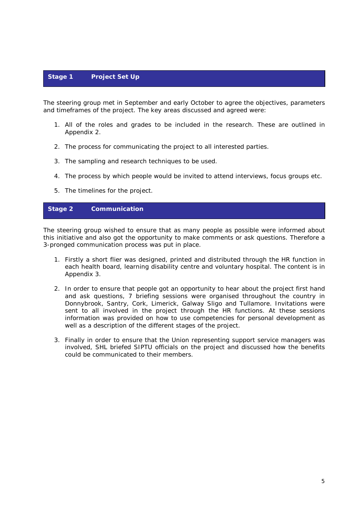## **Stage 1 Project Set Up**

The steering group met in September and early October to agree the objectives, parameters and timeframes of the project. The key areas discussed and agreed were:

- 1. All of the roles and grades to be included in the research. These are outlined in Appendix 2.
- 2. The process for communicating the project to all interested parties.
- 3. The sampling and research techniques to be used.
- 4. The process by which people would be invited to attend interviews, focus groups etc.
- 5. The timelines for the project.

## **Stage 2 Communication**

The steering group wished to ensure that as many people as possible were informed about this initiative and also got the opportunity to make comments or ask questions. Therefore a 3-pronged communication process was put in place.

- 1. Firstly a short flier was designed, printed and distributed through the HR function in each health board, learning disability centre and voluntary hospital. The content is in Appendix 3.
- 2. In order to ensure that people got an opportunity to hear about the project first hand and ask questions, 7 briefing sessions were organised throughout the country in Donnybrook, Santry, Cork, Limerick, Galway Sligo and Tullamore. Invitations were sent to all involved in the project through the HR functions. At these sessions information was provided on how to use competencies for personal development as well as a description of the different stages of the project.
- 3. Finally in order to ensure that the Union representing support service managers was involved, SHL briefed SIPTU officials on the project and discussed how the benefits could be communicated to their members.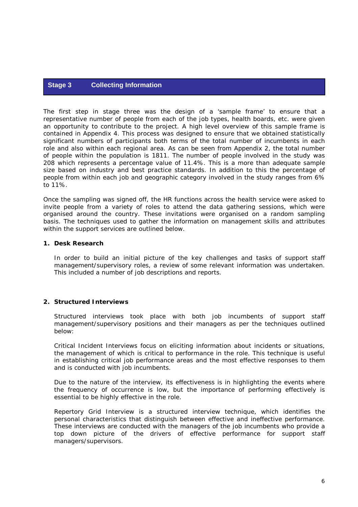## **Stage 3 Collecting Information**

The first step in stage three was the design of a 'sample frame' to ensure that a representative number of people from each of the job types, health boards, etc. were given an opportunity to contribute to the project. A high level overview of this sample frame is contained in Appendix 4. This process was designed to ensure that we obtained statistically significant numbers of participants both terms of the total number of incumbents in each role and also within each regional area. As can be seen from Appendix 2, the total number of people within the population is 1811. The number of people involved in the study was 208 which represents a percentage value of 11.4%. This is a more than adequate sample size based on industry and best practice standards. In addition to this the percentage of people from within each job and geographic category involved in the study ranges from 6% to 11%.

Once the sampling was signed off, the HR functions across the health service were asked to invite people from a variety of roles to attend the data gathering sessions, which were organised around the country. These invitations were organised on a random sampling basis. The techniques used to gather the information on management skills and attributes within the support services are outlined below.

#### *1. Desk Research*

In order to build an initial picture of the key challenges and tasks of support staff management/supervisory roles, a review of some relevant information was undertaken. This included a number of job descriptions and reports.

#### *2. Structured Interviews*

Structured interviews took place with both job incumbents of support staff management/supervisory positions and their managers as per the techniques outlined below:

Critical Incident Interviews focus on eliciting information about incidents or situations, the management of which is critical to performance in the role. This technique is useful in establishing critical job performance areas and the most effective responses to them and is conducted with job incumbents.

Due to the nature of the interview, its effectiveness is in highlighting the events where the frequency of occurrence is low, but the importance of performing effectively is essential to be highly effective in the role.

Repertory Grid Interview is a structured interview technique, which identifies the personal characteristics that distinguish between effective and ineffective performance. These interviews are conducted with the managers of the job incumbents who provide a top down picture of the drivers of effective performance for support staff managers/supervisors.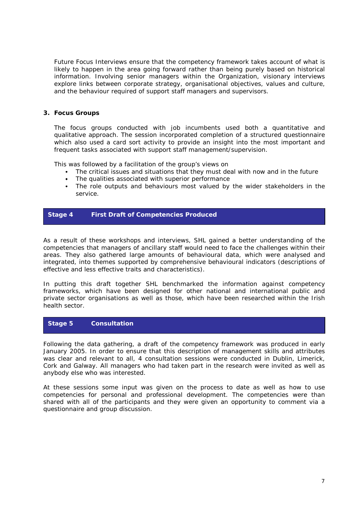Future Focus Interviews ensure that the competency framework takes account of what is likely to happen in the area going forward rather than being purely based on historical information. Involving senior managers within the Organization, visionary interviews explore links between corporate strategy, organisational objectives, values and culture, and the behaviour required of support staff managers and supervisors.

#### *3. Focus Groups*

The focus groups conducted with job incumbents used both a quantitative and qualitative approach. The session incorporated completion of a structured questionnaire which also used a card sort activity to provide an insight into the most important and frequent tasks associated with support staff management/supervision.

This was followed by a facilitation of the group's views on

- The critical issues and situations that they must deal with now and in the future
- The qualities associated with superior performance
- The role outputs and behaviours most valued by the wider stakeholders in the service.

#### **Stage 4 First Draft of Competencies Produced**

As a result of these workshops and interviews, SHL gained a better understanding of the competencies that managers of ancillary staff would need to face the challenges within their areas. They also gathered large amounts of behavioural data, which were analysed and integrated, into themes supported by comprehensive behavioural indicators (descriptions of effective and less effective traits and characteristics).

In putting this draft together SHL benchmarked the information against competency frameworks, which have been designed for other national and international public and private sector organisations as well as those, which have been researched within the Irish health sector.

## **Stage 5 Consultation**

Following the data gathering, a draft of the competency framework was produced in early January 2005. In order to ensure that this description of management skills and attributes was clear and relevant to all, 4 consultation sessions were conducted in Dublin, Limerick, Cork and Galway. All managers who had taken part in the research were invited as well as anybody else who was interested.

At these sessions some input was given on the process to date as well as how to use competencies for personal and professional development. The competencies were than shared with all of the participants and they were given an opportunity to comment via a questionnaire and group discussion.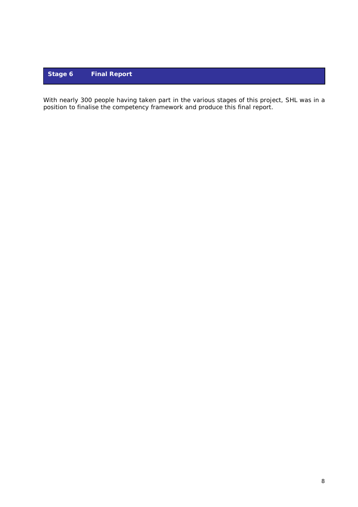## **Stage 6 Final Report**

With nearly 300 people having taken part in the various stages of this project, SHL was in a position to finalise the competency framework and produce this final report.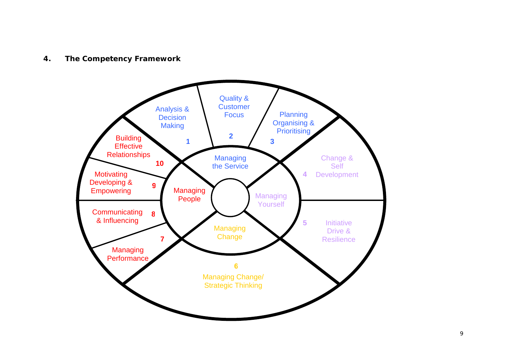## <span id="page-8-0"></span>**4. The Competency Framework**

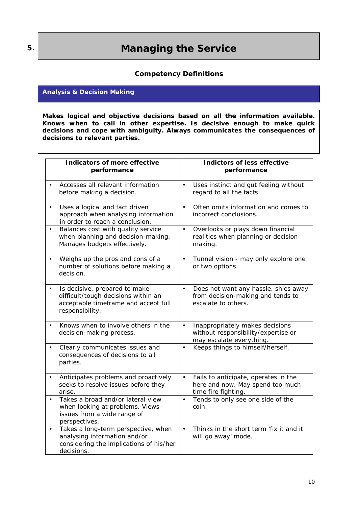## **Managing the Service**

## **Competency Definitions**

### **Analysis & Decision Making**

**Makes logical and objective decisions based on all the information available. Knows when to call in other expertise. Is decisive enough to make quick decisions and cope with ambiguity. Always communicates the consequences of decisions to relevant parties.**

| Indicators of more effective<br>performance                                                                                                  | Indictors of less effective<br>performance                                                                      |
|----------------------------------------------------------------------------------------------------------------------------------------------|-----------------------------------------------------------------------------------------------------------------|
| Accesses all relevant information<br>before making a decision.                                                                               | Uses instinct and gut feeling without<br>$\bullet$<br>regard to all the facts.                                  |
| Uses a logical and fact driven<br>$\bullet$<br>approach when analysing information<br>in order to reach a conclusion.                        | Often omits information and comes to<br>$\bullet$<br>incorrect conclusions.                                     |
| Balances cost with quality service<br>$\bullet$<br>when planning and decision-making.<br>Manages budgets effectively.                        | Overlooks or plays down financial<br>$\bullet$<br>realities when planning or decision-<br>making.               |
| Weighs up the pros and cons of a<br>number of solutions before making a<br>decision.                                                         | Tunnel vision - may only explore one<br>$\bullet$<br>or two options.                                            |
| Is decisive, prepared to make<br>$\bullet$<br>difficult/tough decisions within an<br>acceptable timeframe and accept full<br>responsibility. | Does not want any hassle, shies away<br>$\bullet$<br>from decision-making and tends to<br>escalate to others.   |
| Knows when to involve others in the<br>$\bullet$<br>decision-making process.                                                                 | Inappropriately makes decisions<br>$\bullet$<br>without responsibility/expertise or<br>may escalate everything. |
| Clearly communicates issues and<br>$\bullet$<br>consequences of decisions to all<br>parties.                                                 | Keeps things to himself/herself.<br>$\bullet$                                                                   |
| Anticipates problems and proactively<br>$\bullet$<br>seeks to resolve issues before they<br>arise.                                           | Fails to anticipate, operates in the<br>$\bullet$<br>here and now. May spend too much<br>time fire fighting.    |
| Takes a broad and/or lateral view<br>$\bullet$<br>when looking at problems. Views<br>issues from a wide range of<br>perspectives.            | Tends to only see one side of the<br>$\bullet$<br>coin.                                                         |
| Takes a long-term perspective, when<br>$\bullet$<br>analysing information and/or<br>considering the implications of his/her<br>decisions.    | Thinks in the short term 'fix it and it<br>$\bullet$<br>will go away' mode.                                     |

<span id="page-9-0"></span>**5.**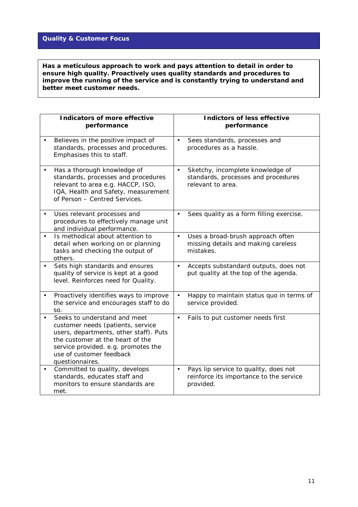## **Quality & Customer Focus**

 **Has a meticulous approach to work and pays attention to detail in order to ensure high quality. Proactively uses quality standards and procedures to improve the running of the service and is constantly trying to understand and better meet customer needs.** 

| Indicators of more effective                                                                                                                                                                                                          | Indictors of less effective                                                                               |
|---------------------------------------------------------------------------------------------------------------------------------------------------------------------------------------------------------------------------------------|-----------------------------------------------------------------------------------------------------------|
| performance                                                                                                                                                                                                                           | performance                                                                                               |
| Believes in the positive impact of                                                                                                                                                                                                    | Sees standards, processes and                                                                             |
| standards, processes and procedures.                                                                                                                                                                                                  | $\bullet$                                                                                                 |
| Emphasises this to staff.                                                                                                                                                                                                             | procedures as a hassle.                                                                                   |
| Has a thorough knowledge of<br>standards, processes and procedures<br>relevant to area e.g. HACCP, ISO,<br>IQA, Health and Safety, measurement<br>of Person - Centred Services.                                                       | Sketchy, incomplete knowledge of<br>$\bullet$<br>standards, processes and procedures<br>relevant to area. |
| Uses relevant processes and<br>procedures to effectively manage unit<br>and individual performance.                                                                                                                                   | Sees quality as a form filling exercise.                                                                  |
| Is methodical about attention to                                                                                                                                                                                                      | Uses a broad-brush approach often                                                                         |
| detail when working on or planning                                                                                                                                                                                                    | $\bullet$                                                                                                 |
| tasks and checking the output of                                                                                                                                                                                                      | missing details and making careless                                                                       |
| others.                                                                                                                                                                                                                               | mistakes.                                                                                                 |
| Sets high standards and ensures                                                                                                                                                                                                       | Accepts substandard outputs, does not                                                                     |
| quality of service is kept at a good                                                                                                                                                                                                  | $\bullet$                                                                                                 |
| level. Reinforces need for Quality.                                                                                                                                                                                                   | put quality at the top of the agenda.                                                                     |
| Proactively identifies ways to improve                                                                                                                                                                                                | Happy to maintain status quo in terms of                                                                  |
| the service and encourages staff to do                                                                                                                                                                                                | $\bullet$                                                                                                 |
| SO.                                                                                                                                                                                                                                   | service provided.                                                                                         |
| Seeks to understand and meet<br>customer needs (patients, service<br>users, departments, other staff). Puts<br>the customer at the heart of the<br>service provided. e.g. promotes the<br>use of customer feedback<br>questionnaires. | Fails to put customer needs first<br>$\bullet$                                                            |
| Committed to quality, develops                                                                                                                                                                                                        | Pays lip service to quality, does not                                                                     |
| standards, educates staff and                                                                                                                                                                                                         | $\bullet$                                                                                                 |
| monitors to ensure standards are                                                                                                                                                                                                      | reinforce its importance to the service                                                                   |
| met.                                                                                                                                                                                                                                  | provided.                                                                                                 |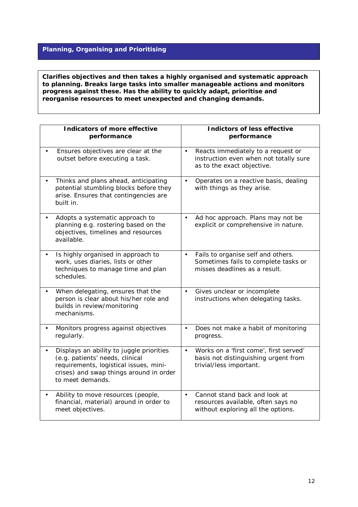## **Planning, Organising and Prioritising**

**Clarifies objectives and then takes a highly organised and systematic approach to planning. Breaks large tasks into smaller manageable actions and monitors progress against these. Has the ability to quickly adapt, prioritise and reorganise resources to meet unexpected and changing demands.** 

| Indicators of more effective<br>performance                                                                                                                                          | Indictors of less effective<br>performance                                                                               |
|--------------------------------------------------------------------------------------------------------------------------------------------------------------------------------------|--------------------------------------------------------------------------------------------------------------------------|
| Ensures objectives are clear at the<br>outset before executing a task.                                                                                                               | Reacts immediately to a request or<br>$\bullet$<br>instruction even when not totally sure<br>as to the exact objective.  |
| Thinks and plans ahead, anticipating<br>potential stumbling blocks before they<br>arise. Ensures that contingencies are<br>built in.                                                 | Operates on a reactive basis, dealing<br>$\bullet$<br>with things as they arise.                                         |
| Adopts a systematic approach to<br>planning e.g. rostering based on the<br>objectives, timelines and resources<br>available.                                                         | Ad hoc approach. Plans may not be<br>$\bullet$<br>explicit or comprehensive in nature.                                   |
| Is highly organised in approach to<br>work, uses diaries, lists or other<br>techniques to manage time and plan<br>schedules.                                                         | Fails to organise self and others.<br>$\bullet$<br>Sometimes fails to complete tasks or<br>misses deadlines as a result. |
| When delegating, ensures that the<br>person is clear about his/her role and<br>builds in review/monitoring<br>mechanisms.                                                            | Gives unclear or incomplete<br>$\bullet$<br>instructions when delegating tasks.                                          |
| Monitors progress against objectives<br>regularly.                                                                                                                                   | Does not make a habit of monitoring<br>$\bullet$<br>progress.                                                            |
| Displays an ability to juggle priorities<br>(e.g. patients' needs, clinical<br>requirements, logistical issues, mini-<br>crises) and swap things around in order<br>to meet demands. | Works on a 'first come', first served'<br>$\bullet$<br>basis not distinguishing urgent from<br>trivial/less important.   |
| Ability to move resources (people,<br>financial, material) around in order to<br>meet objectives.                                                                                    | Cannot stand back and look at<br>$\bullet$<br>resources available, often says no<br>without exploring all the options.   |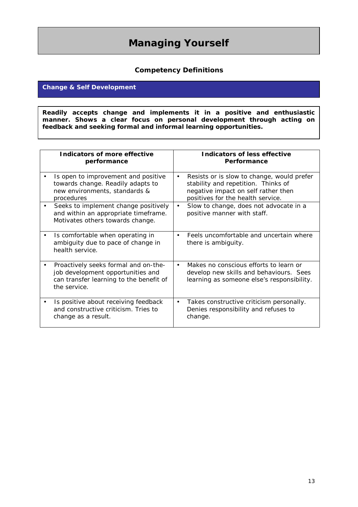# **Managing Yourself**

## **Competency Definitions**

## **Change & Self Development**

**Readily accepts change and implements it in a positive and enthusiastic manner. Shows a clear focus on personal development through acting on feedback and seeking formal and informal learning opportunities.** 

| Indicators of more effective<br>performance                                                                                          |           | Indicators of less effective<br>Performance                                                                                                                   |
|--------------------------------------------------------------------------------------------------------------------------------------|-----------|---------------------------------------------------------------------------------------------------------------------------------------------------------------|
| Is open to improvement and positive<br>towards change. Readily adapts to<br>new environments, standards &<br>procedures              | $\bullet$ | Resists or is slow to change, would prefer<br>stability and repetition. Thinks of<br>negative impact on self rather then<br>positives for the health service. |
| Seeks to implement change positively<br>and within an appropriate timeframe.<br>Motivates others towards change.                     | $\bullet$ | Slow to change, does not advocate in a<br>positive manner with staff.                                                                                         |
| Is comfortable when operating in<br>ambiguity due to pace of change in<br>health service.                                            | $\bullet$ | Feels uncomfortable and uncertain where<br>there is ambiguity.                                                                                                |
| Proactively seeks formal and on-the-<br>job development opportunities and<br>can transfer learning to the benefit of<br>the service. |           | Makes no conscious efforts to learn or<br>develop new skills and behaviours. Sees<br>learning as someone else's responsibility.                               |
| Is positive about receiving feedback<br>and constructive criticism. Tries to<br>change as a result.                                  | $\bullet$ | Takes constructive criticism personally.<br>Denies responsibility and refuses to<br>change.                                                                   |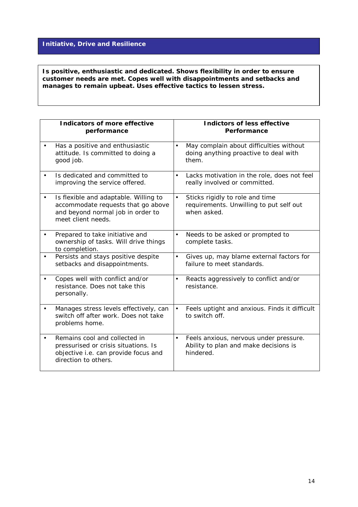## **Initiative, Drive and Resilience**

 **manages to remain upbeat. Uses effective tactics to lessen stress. Is positive, enthusiastic and dedicated. Shows flexibility in order to ensure customer needs are met. Copes well with disappointments and setbacks and** 

| Indicators of more effective<br>performance                                                                                            |           | Indictors of less effective<br>Performance                                                   |
|----------------------------------------------------------------------------------------------------------------------------------------|-----------|----------------------------------------------------------------------------------------------|
| Has a positive and enthusiastic<br>attitude. Is committed to doing a<br>good job.                                                      | $\bullet$ | May complain about difficulties without<br>doing anything proactive to deal with<br>them.    |
| Is dedicated and committed to<br>improving the service offered.                                                                        | $\bullet$ | Lacks motivation in the role, does not feel<br>really involved or committed.                 |
| Is flexible and adaptable. Willing to<br>accommodate requests that go above<br>and beyond normal job in order to<br>meet client needs. | $\bullet$ | Sticks rigidly to role and time<br>requirements. Unwilling to put self out<br>when asked.    |
| Prepared to take initiative and<br>ownership of tasks. Will drive things<br>to completion.                                             | $\bullet$ | Needs to be asked or prompted to<br>complete tasks.                                          |
| Persists and stays positive despite<br>setbacks and disappointments.                                                                   | $\bullet$ | Gives up, may blame external factors for<br>failure to meet standards.                       |
| Copes well with conflict and/or<br>resistance. Does not take this<br>personally.                                                       | $\bullet$ | Reacts aggressively to conflict and/or<br>resistance.                                        |
| Manages stress levels effectively, can<br>switch off after work. Does not take<br>problems home.                                       | $\bullet$ | Feels uptight and anxious. Finds it difficult<br>to switch off.                              |
| Remains cool and collected in<br>pressurised or crisis situations. Is<br>objective i.e. can provide focus and<br>direction to others.  | $\bullet$ | Feels anxious, nervous under pressure.<br>Ability to plan and make decisions is<br>hindered. |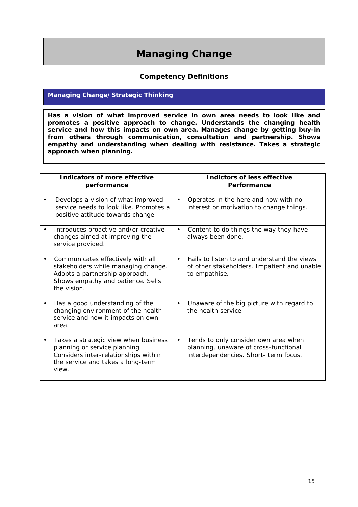# **Managing Change**

## **Competency Definitions**

## **Managing Change/Strategic Thinking**

**Has a vision of what improved service in own area needs to look like and promotes a positive approach to change. Understands the changing health service and how this impacts on own area. Manages change by getting buy-in from others through communication, consultation and partnership. Shows empathy and understanding when dealing with resistance. Takes a strategic approach when planning.** 

| Indicators of more effective<br>performance                                                                                                                              | Indictors of less effective<br>Performance                                                                                          |
|--------------------------------------------------------------------------------------------------------------------------------------------------------------------------|-------------------------------------------------------------------------------------------------------------------------------------|
| Develops a vision of what improved<br>service needs to look like. Promotes a<br>positive attitude towards change.                                                        | Operates in the here and now with no<br>$\bullet$<br>interest or motivation to change things.                                       |
| Introduces proactive and/or creative<br>$\bullet$<br>changes aimed at improving the<br>service provided.                                                                 | Content to do things the way they have<br>$\bullet$<br>always been done.                                                            |
| Communicates effectively with all<br>stakeholders while managing change.<br>Adopts a partnership approach.<br>Shows empathy and patience. Sells<br>the vision.           | Fails to listen to and understand the views<br>$\bullet$<br>of other stakeholders. Impatient and unable<br>to empathise.            |
| Has a good understanding of the<br>changing environment of the health<br>service and how it impacts on own<br>area.                                                      | Unaware of the big picture with regard to<br>$\bullet$<br>the health service.                                                       |
| Takes a strategic view when business<br>$\bullet$<br>planning or service planning.<br>Considers inter-relationships within<br>the service and takes a long-term<br>view. | Tends to only consider own area when<br>$\bullet$<br>planning, unaware of cross-functional<br>interdependencies. Short- term focus. |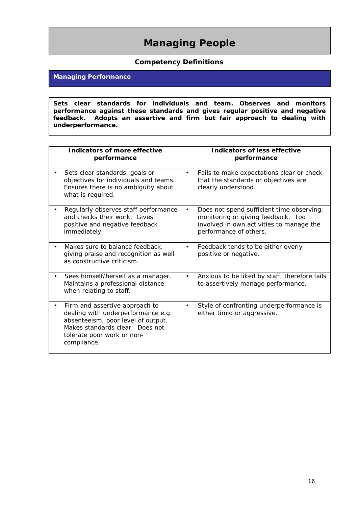# **Managing People**

## **Competency Definitions**

## **Managing Performance**

**Sets clear standards for individuals and team. Observes and monitors performance against these standards and gives regular positive and negative feedback. Adopts an assertive and firm but fair approach to dealing with underperformance.** 

| Indicators of more effective                                                                                                                                                               | Indicators of less effective                                                                                                                                       |
|--------------------------------------------------------------------------------------------------------------------------------------------------------------------------------------------|--------------------------------------------------------------------------------------------------------------------------------------------------------------------|
| performance                                                                                                                                                                                | performance                                                                                                                                                        |
| Sets clear standards, goals or                                                                                                                                                             | Fails to make expectations clear or check                                                                                                                          |
| objectives for individuals and teams.                                                                                                                                                      | $\bullet$                                                                                                                                                          |
| Ensures there is no ambiguity about                                                                                                                                                        | that the standards or objectives are                                                                                                                               |
| what is required.                                                                                                                                                                          | clearly understood.                                                                                                                                                |
| Regularly observes staff performance<br>and checks their work. Gives<br>positive and negative feedback<br>immediately.                                                                     | Does not spend sufficient time observing,<br>$\bullet$<br>monitoring or giving feedback. Too<br>involved in own activities to manage the<br>performance of others. |
| Makes sure to balance feedback,                                                                                                                                                            | Feedback tends to be either overly                                                                                                                                 |
| giving praise and recognition as well                                                                                                                                                      | $\bullet$                                                                                                                                                          |
| as constructive criticism.                                                                                                                                                                 | positive or negative.                                                                                                                                              |
| Sees himself/herself as a manager.                                                                                                                                                         | Anxious to be liked by staff, therefore fails                                                                                                                      |
| Maintains a professional distance                                                                                                                                                          | $\bullet$                                                                                                                                                          |
| when relating to staff.                                                                                                                                                                    | to assertively manage performance.                                                                                                                                 |
| Firm and assertive approach to<br>dealing with underperformance e.g.<br>absenteeism, poor level of output.<br>Makes standards clear. Does not<br>tolerate poor work or non-<br>compliance. | Style of confronting underperformance is<br>$\bullet$<br>either timid or aggressive.                                                                               |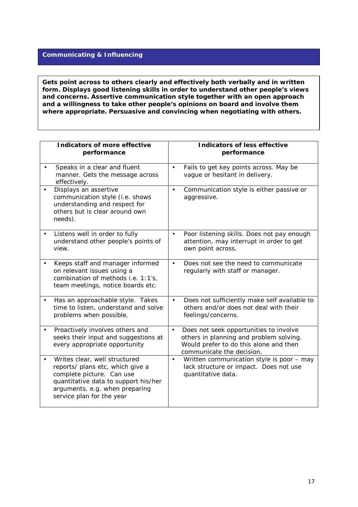#### **Communicating & Influencing**

**Gets point across to others clearly and effectively both verbally and in written form. Displays good listening skills in order to understand other people's views and concerns. Assertive communication style together with an open approach and a willingness to take other people's opinions on board and involve them where appropriate. Persuasive and convincing when negotiating with others.** 

| Indicators of more effective<br>performance                                                                                                                                                           | Indicators of less effective<br>performance                                                                                                                           |
|-------------------------------------------------------------------------------------------------------------------------------------------------------------------------------------------------------|-----------------------------------------------------------------------------------------------------------------------------------------------------------------------|
| Speaks in a clear and fluent<br>manner. Gets the message across<br>effectively.                                                                                                                       | Fails to get key points across. May be<br>$\bullet$<br>vague or hesitant in delivery.                                                                                 |
| Displays an assertive<br>communication style (i.e. shows<br>understanding and respect for<br>others but is clear around own<br>needs).                                                                | Communication style is either passive or<br>$\bullet$<br>aggressive.                                                                                                  |
| Listens well in order to fully<br>understand other people's points of<br>view.                                                                                                                        | Poor listening skills. Does not pay enough<br>$\bullet$<br>attention, may interrupt in order to get<br>own point across.                                              |
| Keeps staff and manager informed<br>on relevant issues using a<br>combination of methods i.e. 1:1's,<br>team meetings, notice boards etc.                                                             | Does not see the need to communicate<br>$\bullet$<br>regularly with staff or manager.                                                                                 |
| Has an approachable style. Takes<br>time to listen, understand and solve<br>problems when possible.                                                                                                   | Does not sufficiently make self available to<br>$\bullet$<br>others and/or does not deal with their<br>feelings/concerns.                                             |
| Proactively involves others and<br>seeks their input and suggestions at<br>every appropriate opportunity                                                                                              | Does not seek opportunities to involve<br>$\bullet$<br>others in planning and problem solving.<br>Would prefer to do this alone and then<br>communicate the decision. |
| Writes clear, well structured<br>reports/ plans etc, which give a<br>complete picture. Can use<br>quantitative data to support his/her<br>arguments. e.g. when preparing<br>service plan for the year | Written communication style is poor - may<br>$\bullet$<br>lack structure or impact. Does not use<br>quantitative data.                                                |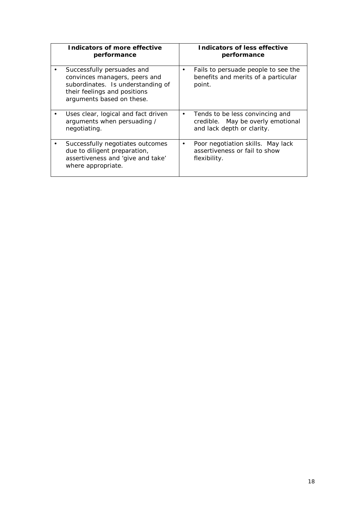| Indicators of more effective                                                                                                                                  | Indicators of less effective                                                                                    |
|---------------------------------------------------------------------------------------------------------------------------------------------------------------|-----------------------------------------------------------------------------------------------------------------|
| performance                                                                                                                                                   | performance                                                                                                     |
| Successfully persuades and<br>convinces managers, peers and<br>subordinates. Is understanding of<br>their feelings and positions<br>arguments based on these. | Fails to persuade people to see the<br>benefits and merits of a particular<br>point.                            |
| Uses clear, logical and fact driven<br>arguments when persuading /<br>negotiating.                                                                            | Tends to be less convincing and<br>$\bullet$<br>credible. May be overly emotional<br>and lack depth or clarity. |
| Successfully negotiates outcomes                                                                                                                              | Poor negotiation skills. May lack                                                                               |
| due to diligent preparation,                                                                                                                                  | $\bullet$                                                                                                       |
| assertiveness and 'give and take'                                                                                                                             | assertiveness or fail to show                                                                                   |
| where appropriate.                                                                                                                                            | flexibility.                                                                                                    |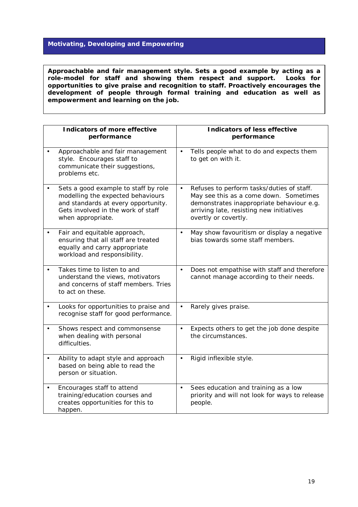## **Motivating, Developing and Empowering**

**Approachable and fair management style. Sets a good example by acting as a role-model for staff and showing them respect and support. Looks for opportunities to give praise and recognition to staff. Proactively encourages the development of people through formal training and education as well as empowerment and learning on the job.** 

|           | Indicators of more effective<br>performance                                                                                                                                 | Indicators of less effective<br>performance                                                                                                                                                                       |
|-----------|-----------------------------------------------------------------------------------------------------------------------------------------------------------------------------|-------------------------------------------------------------------------------------------------------------------------------------------------------------------------------------------------------------------|
|           | Approachable and fair management<br>style. Encourages staff to<br>communicate their suggestions,<br>problems etc.                                                           | Tells people what to do and expects them<br>$\bullet$<br>to get on with it.                                                                                                                                       |
|           | Sets a good example to staff by role<br>modelling the expected behaviours<br>and standards at every opportunity.<br>Gets involved in the work of staff<br>when appropriate. | Refuses to perform tasks/duties of staff.<br>$\bullet$<br>May see this as a come down. Sometimes<br>demonstrates inappropriate behaviour e.g.<br>arriving late, resisting new initiatives<br>overtly or covertly. |
|           | Fair and equitable approach,<br>ensuring that all staff are treated<br>equally and carry appropriate<br>workload and responsibility.                                        | May show favouritism or display a negative<br>$\bullet$<br>bias towards some staff members.                                                                                                                       |
|           | Takes time to listen to and<br>understand the views, motivators<br>and concerns of staff members. Tries<br>to act on these.                                                 | Does not empathise with staff and therefore<br>$\bullet$<br>cannot manage according to their needs.                                                                                                               |
|           | Looks for opportunities to praise and<br>recognise staff for good performance.                                                                                              | Rarely gives praise.<br>$\bullet$                                                                                                                                                                                 |
|           | Shows respect and commonsense<br>when dealing with personal<br>difficulties.                                                                                                | Expects others to get the job done despite<br>$\bullet$<br>the circumstances.                                                                                                                                     |
|           | Ability to adapt style and approach<br>based on being able to read the<br>person or situation.                                                                              | Rigid inflexible style.<br>$\bullet$                                                                                                                                                                              |
| $\bullet$ | Encourages staff to attend<br>training/education courses and<br>creates opportunities for this to<br>happen.                                                                | Sees education and training as a low<br>$\bullet$<br>priority and will not look for ways to release<br>people.                                                                                                    |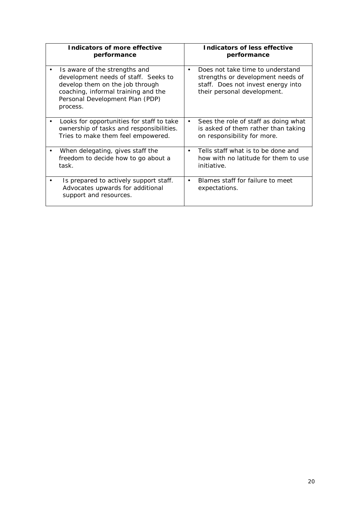| Indicators of more effective<br>performance                                                                                                                                                    |           | Indicators of less effective<br>performance                                                                                                |
|------------------------------------------------------------------------------------------------------------------------------------------------------------------------------------------------|-----------|--------------------------------------------------------------------------------------------------------------------------------------------|
| Is aware of the strengths and<br>development needs of staff. Seeks to<br>develop them on the job through<br>coaching, informal training and the<br>Personal Development Plan (PDP)<br>process. | $\bullet$ | Does not take time to understand<br>strengths or development needs of<br>staff. Does not invest energy into<br>their personal development. |
| Looks for opportunities for staff to take<br>ownership of tasks and responsibilities.<br>Tries to make them feel empowered.                                                                    | $\bullet$ | Sees the role of staff as doing what<br>is asked of them rather than taking<br>on responsibility for more.                                 |
| When delegating, gives staff the<br>freedom to decide how to go about a<br>task.                                                                                                               | $\bullet$ | Tells staff what is to be done and<br>how with no latitude for them to use<br>initiative.                                                  |
| Is prepared to actively support staff.<br>Advocates upwards for additional<br>support and resources.                                                                                           |           | Blames staff for failure to meet<br>expectations.                                                                                          |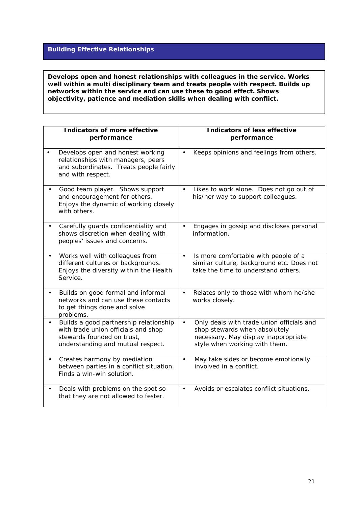### **Building Effective Relationships**

**Develops open and honest relationships with colleagues in the service. Works well within a multi disciplinary team and treats people with respect. Builds up networks within the service and can use these to good effect. Shows objectivity, patience and mediation skills when dealing with conflict.** 

| Indicators of more effective                                                                                                                     | Indicators of less effective                                                                                                                                     |
|--------------------------------------------------------------------------------------------------------------------------------------------------|------------------------------------------------------------------------------------------------------------------------------------------------------------------|
| performance                                                                                                                                      | performance                                                                                                                                                      |
| Develops open and honest working<br>relationships with managers, peers<br>and subordinates. Treats people fairly<br>and with respect.            | Keeps opinions and feelings from others.                                                                                                                         |
| Good team player. Shows support<br>and encouragement for others.<br>Enjoys the dynamic of working closely<br>with others.                        | Likes to work alone. Does not go out of<br>$\bullet$<br>his/her way to support colleagues.                                                                       |
| Carefully guards confidentiality and                                                                                                             | Engages in gossip and discloses personal                                                                                                                         |
| shows discretion when dealing with                                                                                                               | $\bullet$                                                                                                                                                        |
| peoples' issues and concerns.                                                                                                                    | information.                                                                                                                                                     |
| Works well with colleagues from                                                                                                                  | Is more comfortable with people of a                                                                                                                             |
| different cultures or backgrounds.                                                                                                               | $\bullet$                                                                                                                                                        |
| Enjoys the diversity within the Health                                                                                                           | similar culture, background etc. Does not                                                                                                                        |
| Service.                                                                                                                                         | take the time to understand others.                                                                                                                              |
| Builds on good formal and informal<br>networks and can use these contacts<br>to get things done and solve<br>problems.                           | Relates only to those with whom he/she<br>$\bullet$<br>works closely.                                                                                            |
| Builds a good partnership relationship<br>with trade union officials and shop<br>stewards founded on trust,<br>understanding and mutual respect. | Only deals with trade union officials and<br>$\bullet$<br>shop stewards when absolutely<br>necessary. May display inappropriate<br>style when working with them. |
| Creates harmony by mediation                                                                                                                     | May take sides or become emotionally                                                                                                                             |
| between parties in a conflict situation.                                                                                                         | $\bullet$                                                                                                                                                        |
| Finds a win-win solution.                                                                                                                        | involved in a conflict.                                                                                                                                          |
| Deals with problems on the spot so                                                                                                               | Avoids or escalates conflict situations.                                                                                                                         |
| that they are not allowed to fester.                                                                                                             | $\bullet$                                                                                                                                                        |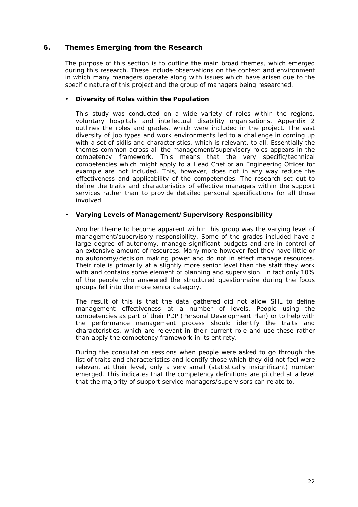### <span id="page-21-0"></span>**6. Themes Emerging from the Research**

The purpose of this section is to outline the main broad themes, which emerged during this research. These include observations on the context and environment in which many managers operate along with issues which have arisen due to the specific nature of this project and the group of managers being researched.

#### • **Diversity of Roles within the Population**

This study was conducted on a wide variety of roles within the regions, voluntary hospitals and intellectual disability organisations. Appendix 2 outlines the roles and grades, which were included in the project. The vast diversity of job types and work environments led to a challenge in coming up with a set of skills and characteristics, which is relevant, to all. Essentially the themes common across all the management/supervisory roles appears in the competency framework. This means that the very specific/technical competencies which might apply to a Head Chef or an Engineering Officer for example are not included. This, however, does not in any way reduce the effectiveness and applicability of the competencies. The research set out to define the traits and characteristics of effective managers within the support services rather than to provide detailed personal specifications for all those involved.

#### • **Varying Levels of Management/Supervisory Responsibility**

Another theme to become apparent within this group was the varying level of management/supervisory responsibility. Some of the grades included have a large degree of autonomy, manage significant budgets and are in control of an extensive amount of resources. Many more however feel they have little or no autonomy/decision making power and do not in effect manage resources. Their role is primarily at a slightly more senior level than the staff they work with and contains some element of planning and supervision. In fact only 10% of the people who answered the structured questionnaire during the focus groups fell into the more senior category.

The result of this is that the data gathered did not allow SHL to define management effectiveness at a number of levels. People using the competencies as part of their PDP (Personal Development Plan) or to help with the performance management process should identify the traits and characteristics, which are relevant in their current role and use these rather than apply the competency framework in its entirety.

During the consultation sessions when people were asked to go through the list of traits and characteristics and identify those which they did not feel were relevant at their level, only a very small (statistically insignificant) number emerged. This indicates that the competency definitions are pitched at a level that the majority of support service managers/supervisors can relate to.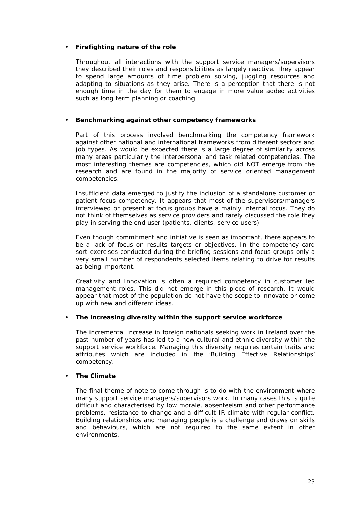#### • **Firefighting nature of the role**

Throughout all interactions with the support service managers/supervisors they described their roles and responsibilities as largely reactive. They appear to spend large amounts of time problem solving, juggling resources and adapting to situations as they arise. There is a perception that there is not enough time in the day for them to engage in more value added activities such as long term planning or coaching.

#### • **Benchmarking against other competency frameworks**

Part of this process involved benchmarking the competency framework against other national and international frameworks from different sectors and job types. As would be expected there is a large degree of similarity across many areas particularly the interpersonal and task related competencies. The most interesting themes are competencies, which did NOT emerge from the research and are found in the majority of service oriented management competencies.

Insufficient data emerged to justify the inclusion of a standalone customer or patient focus competency. It appears that most of the supervisors/managers interviewed or present at focus groups have a mainly internal focus. They do not think of themselves as service providers and rarely discussed the role they play in serving the end user (patients, clients, service users)

Even though commitment and initiative is seen as important, there appears to be a lack of focus on results targets or objectives. In the competency card sort exercises conducted during the briefing sessions and focus groups only a very small number of respondents selected items relating to drive for results as being important.

Creativity and Innovation is often a required competency in customer led management roles. This did not emerge in this piece of research. It would appear that most of the population do not have the scope to innovate or come up with new and different ideas.

#### • **The increasing diversity within the support service workforce**

The incremental increase in foreign nationals seeking work in Ireland over the past number of years has led to a new cultural and ethnic diversity within the support service workforce. Managing this diversity requires certain traits and attributes which are included in the 'Building Effective Relationships' competency.

#### • **The Climate**

The final theme of note to come through is to do with the environment where many support service managers/supervisors work. In many cases this is quite difficult and characterised by low morale, absenteeism and other performance problems, resistance to change and a difficult IR climate with regular conflict. Building relationships and managing people is a challenge and draws on skills and behaviours, which are not required to the same extent in other environments.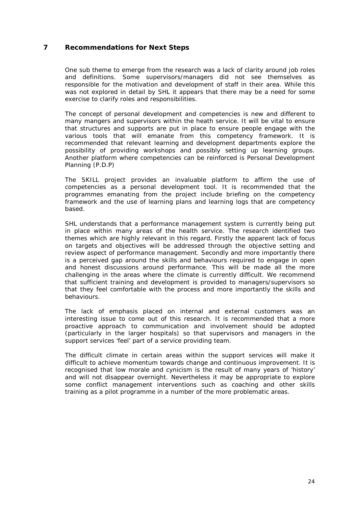## <span id="page-23-0"></span>**7 Recommendations for Next Steps**

One sub theme to emerge from the research was a lack of clarity around job roles and definitions. Some supervisors/managers did not see themselves as responsible for the motivation and development of staff in their area. While this was not explored in detail by SHL it appears that there may be a need for some exercise to clarify roles and responsibilities.

The concept of personal development and competencies is new and different to many mangers and supervisors within the heath service. It will be vital to ensure that structures and supports are put in place to ensure people engage with the various tools that will emanate from this competency framework. It is recommended that relevant learning and development departments explore the possibility of providing workshops and possibly setting up learning groups. Another platform where competencies can be reinforced is Personal Development Planning (P.D.P)

The SKILL project provides an invaluable platform to affirm the use of competencies as a personal development tool. It is recommended that the programmes emanating from the project include briefing on the competency framework and the use of learning plans and learning logs that are competency based.

SHL understands that a performance management system is currently being put in place within many areas of the health service. The research identified two themes which are highly relevant in this regard. Firstly the apparent lack of focus on targets and objectives will be addressed through the objective setting and review aspect of performance management. Secondly and more importantly there is a perceived gap around the skills and behaviours required to engage in open and honest discussions around performance. This will be made all the more challenging in the areas where the climate is currently difficult. We recommend that sufficient training and development is provided to managers/supervisors so that they feel comfortable with the process and more importantly the skills and behaviours.

The lack of emphasis placed on internal and external customers was an interesting issue to come out of this research. It is recommended that a more proactive approach to communication and involvement should be adopted (particularly in the larger hospitals) so that supervisors and managers in the support services 'feel' part of a service providing team.

The difficult climate in certain areas within the support services will make it difficult to achieve momentum towards change and continuous improvement. It is recognised that low morale and cynicism is the result of many years of 'history' and will not disappear overnight. Nevertheless it may be appropriate to explore some conflict management interventions such as coaching and other skills training as a pilot programme in a number of the more problematic areas.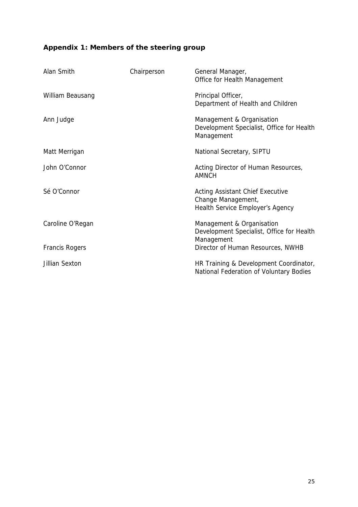## **Appendix 1: Members of the steering group**

| Alan Smith       | Chairperson | General Manager,<br>Office for Health Management                                                  |
|------------------|-------------|---------------------------------------------------------------------------------------------------|
| William Beausang |             | Principal Officer,<br>Department of Health and Children                                           |
| Ann Judge        |             | Management & Organisation<br>Development Specialist, Office for Health<br>Management              |
| Matt Merrigan    |             | National Secretary, SIPTU                                                                         |
| John O'Connor    |             | Acting Director of Human Resources,<br><b>AMNCH</b>                                               |
| Sé O'Connor      |             | <b>Acting Assistant Chief Executive</b><br>Change Management,<br>Health Service Employer's Agency |
| Caroline O'Regan |             | Management & Organisation<br>Development Specialist, Office for Health<br>Management              |
| Francis Rogers   |             | Director of Human Resources, NWHB                                                                 |
| Jillian Sexton   |             | HR Training & Development Coordinator,<br>National Federation of Voluntary Bodies                 |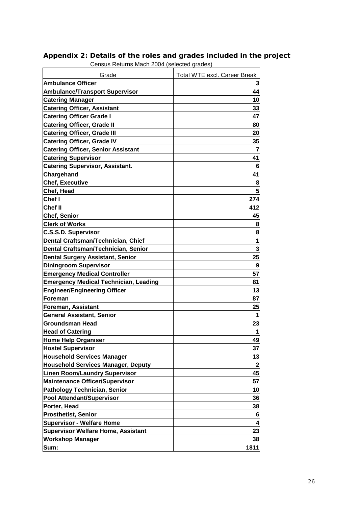| Grade<br><b>Ambulance Officer</b>                             | <b>Total WTE excl. Career Break</b> |
|---------------------------------------------------------------|-------------------------------------|
|                                                               | 44                                  |
| <b>Ambulance/Transport Supervisor</b>                         | 10                                  |
| <b>Catering Manager</b><br><b>Catering Officer, Assistant</b> | 33                                  |
|                                                               |                                     |
| <b>Catering Officer Grade I</b>                               | 47                                  |
| <b>Catering Officer, Grade II</b>                             | 80                                  |
| <b>Catering Officer, Grade III</b>                            | 20                                  |
| <b>Catering Officer, Grade IV</b>                             | 35                                  |
| <b>Catering Officer, Senior Assistant</b>                     | $\overline{7}$                      |
| <b>Catering Supervisor</b>                                    | 41                                  |
| <b>Catering Supervisor, Assistant.</b>                        | 6                                   |
| Chargehand                                                    | 41                                  |
| <b>Chef, Executive</b>                                        | 8                                   |
| Chef, Head                                                    | 5                                   |
| Chef I                                                        | 274                                 |
| Chef II                                                       | 412                                 |
| <b>Chef, Senior</b>                                           | 45                                  |
| <b>Clerk of Works</b>                                         | 8                                   |
| <b>C.S.S.D. Supervisor</b>                                    | 8                                   |
| Dental Craftsman/Technician, Chief                            | 1                                   |
| Dental Craftsman/Technician, Senior                           | 3                                   |
| <b>Dental Surgery Assistant, Senior</b>                       | 25                                  |
| <b>Diningroom Supervisor</b>                                  | 9                                   |
| <b>Emergency Medical Controller</b>                           | 57                                  |
| <b>Emergency Medical Technician, Leading</b>                  | 81                                  |
| <b>Engineer/Engineering Officer</b>                           | 13                                  |
| Foreman                                                       | 87                                  |
| Foreman, Assistant                                            | 25                                  |
| <b>General Assistant, Senior</b>                              | 1                                   |
| <b>Groundsman Head</b>                                        | 23                                  |
| <b>Head of Catering</b>                                       | 1                                   |
| <b>Home Help Organiser</b>                                    | 49                                  |
| <b>Hostel Supervisor</b>                                      | 37                                  |
| <b>Household Services Manager</b>                             | 13                                  |
| <b>Household Services Manager, Deputy</b>                     | $\overline{\mathbf{2}}$             |
| <b>Linen Room/Laundry Supervisor</b>                          | 45                                  |
| <b>Maintenance Officer/Supervisor</b>                         | 57                                  |
| <b>Pathology Technician, Senior</b>                           | 10                                  |
| <b>Pool Attendant/Supervisor</b>                              | 36                                  |
| Porter, Head                                                  | 38                                  |
| <b>Prosthetist, Senior</b>                                    | 6                                   |
| <b>Supervisor - Welfare Home</b>                              | 4                                   |
| <b>Supervisor Welfare Home, Assistant</b>                     | 23                                  |
| <b>Workshop Manager</b>                                       | 38                                  |
| Sum:                                                          | 1811                                |

#### <span id="page-25-0"></span>**Appendix 2: Details of the roles and grades included in the project**  Census Returns Mach 2004 (selected grades)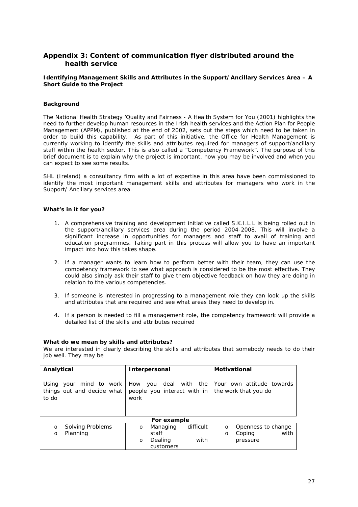### <span id="page-26-0"></span>**Appendix 3: Content of communication flyer distributed around the health service**

#### **Identifying Management Skills and Attributes in the Support/Ancillary Services Area – A Short Guide to the Project**

#### **Background**

The National Health Strategy *'Quality and Fairness - A Health System for You* (2001) highlights the need to further develop human resources in the Irish health services and the Action Plan for People Management (APPM), published at the end of 2002, sets out the steps which need to be taken in order to build this capability. As part of this initiative, the Office for Health Management is currently working to identify the skills and attributes required for managers of support/ancillary staff within the health sector. This is also called a "Competency Framework". The purpose of this brief document is to explain why the project is important, how you may be involved and when you can expect to see some results.

SHL (Ireland) a consultancy firm with a lot of expertise in this area have been commissioned to identify the most important management skills and attributes for managers who work in the Support/ Ancillary services area.

#### **What's in it for you?**

- 1. A comprehensive training and development initiative called S.K.I.L.L is being rolled out in the support/ancillary services area during the period 2004-2008. This will involve a significant increase in opportunities for managers and staff to avail of training and education programmes. Taking part in this process will allow you to have an important impact into how this takes shape.
- 2. If a manager wants to learn how to perform better with their team, they can use the competency framework to see what approach is considered to be the most effective. They could also simply ask their staff to give them objective feedback on how they are doing in relation to the various competencies.
- 3. If someone is interested in progressing to a management role they can look up the skills and attributes that are required and see what areas they need to develop in.
- 4. If a person is needed to fill a management role, the competency framework will provide a detailed list of the skills and attributes required

#### **What do we mean by skills and attributes?**

We are interested in clearly describing the skills and attributes that somebody needs to do their job well. They may be

| Analytical                                                     | Interpersonal                                                | Motivational                                      |  |  |  |  |  |  |  |  |
|----------------------------------------------------------------|--------------------------------------------------------------|---------------------------------------------------|--|--|--|--|--|--|--|--|
| Using your mind to work<br>things out and decide what<br>to do | How you deal with the<br>people you interact with in<br>work | Your own attitude towards<br>the work that you do |  |  |  |  |  |  |  |  |
|                                                                | For example                                                  |                                                   |  |  |  |  |  |  |  |  |
| Solving Problems<br>$\circ$                                    | difficult<br>Managing<br>$\circ$                             | Openness to change<br>$\circ$                     |  |  |  |  |  |  |  |  |
| Planning<br>$\Omega$                                           | staff                                                        | with<br>Coping<br>O                               |  |  |  |  |  |  |  |  |
|                                                                | with<br>Dealing<br>$\circ$                                   | pressure                                          |  |  |  |  |  |  |  |  |
|                                                                | customers                                                    |                                                   |  |  |  |  |  |  |  |  |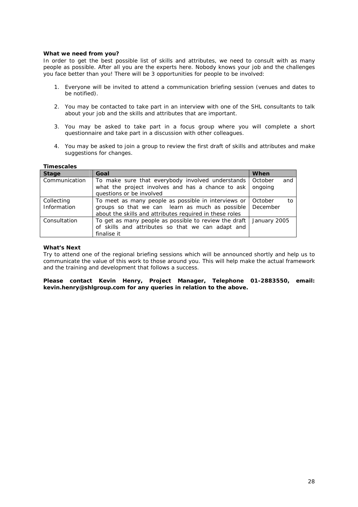#### **What we need from you?**

In order to get the best possible list of skills and attributes, we need to consult with as many people as possible. After all you are the experts here. Nobody knows your job and the challenges you face better than you! There will be 3 opportunities for people to be involved:

- 1. Everyone will be invited to attend a communication briefing session (venues and dates to be notified).
- 2. You may be contacted to take part in an interview with one of the SHL consultants to talk about your job and the skills and attributes that are important.
- 3. You may be asked to take part in a focus group where you will complete a short questionnaire and take part in a discussion with other colleagues.
- 4. You may be asked to join a group to review the first draft of skills and attributes and make suggestions for changes.

#### **Timescales**

| <b>Stage</b>              | Goal                                                                                                                                                              | When                      |
|---------------------------|-------------------------------------------------------------------------------------------------------------------------------------------------------------------|---------------------------|
| Communication             | To make sure that everybody involved understands<br>what the project involves and has a chance to ask<br>questions or be involved                                 | October<br>and<br>onaoina |
| Collecting<br>Information | To meet as many people as possible in interviews or<br>groups so that we can learn as much as possible<br>about the skills and attributes required in these roles | October<br>to<br>December |
| Consultation              | To get as many people as possible to review the draft<br>of skills and attributes so that we can adapt and<br>finalise it                                         | January 2005              |

#### **What's Next**

Try to attend one of the regional briefing sessions which will be announced shortly and help us to communicate the value of this work to those around you. This will help make the actual framework and the training and development that follows a success.

**Please contact Kevin Henry, Project Manager, Telephone 01-2883550, email: kevin.henry@shlgroup.com for any queries in relation to the above.**